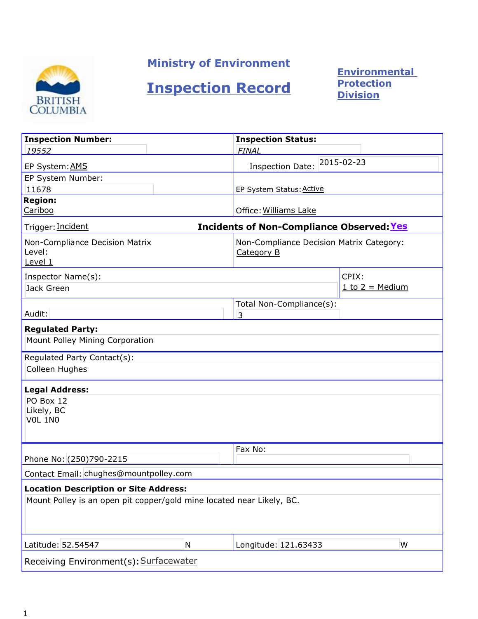

## Ministry of Environment

# Inspection Record

**Environmental** Protection Division

| <b>Inspection Number:</b>                                                                                             |  | <b>Inspection Status:</b>                              |                              |  |  |
|-----------------------------------------------------------------------------------------------------------------------|--|--------------------------------------------------------|------------------------------|--|--|
| 19552                                                                                                                 |  | <b>FINAL</b>                                           |                              |  |  |
| EP System: AMS                                                                                                        |  | <b>Inspection Date:</b>                                | 2015-02-23                   |  |  |
| EP System Number:                                                                                                     |  |                                                        |                              |  |  |
| 11678                                                                                                                 |  | EP System Status: Active                               |                              |  |  |
| <b>Region:</b><br>Cariboo                                                                                             |  | Office: Williams Lake                                  |                              |  |  |
| Trigger: Incident                                                                                                     |  | <b>Incidents of Non-Compliance Observed: Yes</b>       |                              |  |  |
| Non-Compliance Decision Matrix<br>Level:<br>Level <sub>1</sub>                                                        |  | Non-Compliance Decision Matrix Category:<br>Category B |                              |  |  |
| Inspector Name(s):<br>Jack Green                                                                                      |  |                                                        | CPIX:<br>$1$ to $2$ = Medium |  |  |
| Audit:                                                                                                                |  | Total Non-Compliance(s):<br>3                          |                              |  |  |
| <b>Regulated Party:</b><br>Mount Polley Mining Corporation                                                            |  |                                                        |                              |  |  |
| Regulated Party Contact(s):<br>Colleen Hughes                                                                         |  |                                                        |                              |  |  |
| <b>Legal Address:</b>                                                                                                 |  |                                                        |                              |  |  |
| PO Box 12<br>Likely, BC<br><b>VOL 1NO</b>                                                                             |  |                                                        |                              |  |  |
|                                                                                                                       |  | Fax No:                                                |                              |  |  |
| Phone No: (250)790-2215                                                                                               |  |                                                        |                              |  |  |
| Contact Email: chughes@mountpolley.com                                                                                |  |                                                        |                              |  |  |
| <b>Location Description or Site Address:</b><br>Mount Polley is an open pit copper/gold mine located near Likely, BC. |  |                                                        |                              |  |  |
| Latitude: 52.54547<br>N                                                                                               |  | Longitude: 121.63433                                   | W                            |  |  |
| Receiving Environment(s): Surfacewater                                                                                |  |                                                        |                              |  |  |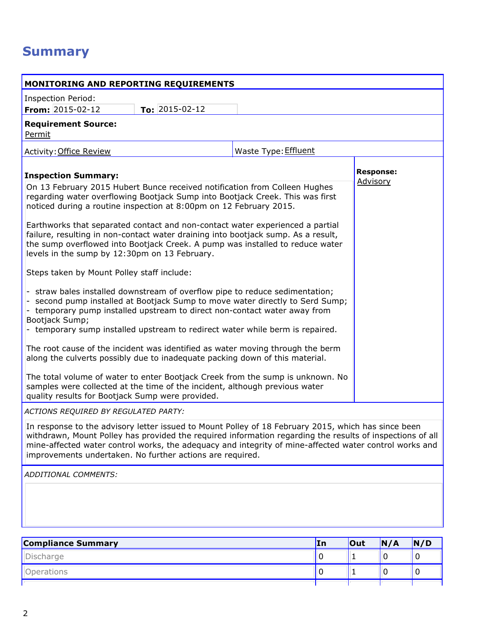## **Summary**

| MONITORING AND REPORTING REQUIREMENTS                                                                                                                                                                                                                                                                                                                                                                                                                                                                                                                                                                                                                                                                                                                                                                                                                                                                                                                                                                                                                                                                                                                                                                                                                                                                     |                      |    |                              |     |     |  |
|-----------------------------------------------------------------------------------------------------------------------------------------------------------------------------------------------------------------------------------------------------------------------------------------------------------------------------------------------------------------------------------------------------------------------------------------------------------------------------------------------------------------------------------------------------------------------------------------------------------------------------------------------------------------------------------------------------------------------------------------------------------------------------------------------------------------------------------------------------------------------------------------------------------------------------------------------------------------------------------------------------------------------------------------------------------------------------------------------------------------------------------------------------------------------------------------------------------------------------------------------------------------------------------------------------------|----------------------|----|------------------------------|-----|-----|--|
| <b>Inspection Period:</b><br><b>From:</b> $2015 - 02 - 12$<br>To: $2015 - 02 - 12$                                                                                                                                                                                                                                                                                                                                                                                                                                                                                                                                                                                                                                                                                                                                                                                                                                                                                                                                                                                                                                                                                                                                                                                                                        |                      |    |                              |     |     |  |
| <b>Requirement Source:</b><br>Permit                                                                                                                                                                                                                                                                                                                                                                                                                                                                                                                                                                                                                                                                                                                                                                                                                                                                                                                                                                                                                                                                                                                                                                                                                                                                      |                      |    |                              |     |     |  |
| <b>Activity: Office Review</b>                                                                                                                                                                                                                                                                                                                                                                                                                                                                                                                                                                                                                                                                                                                                                                                                                                                                                                                                                                                                                                                                                                                                                                                                                                                                            | Waste Type: Effluent |    |                              |     |     |  |
| <b>Inspection Summary:</b><br>On 13 February 2015 Hubert Bunce received notification from Colleen Hughes<br>regarding water overflowing Bootjack Sump into Bootjack Creek. This was first<br>noticed during a routine inspection at 8:00pm on 12 February 2015.<br>Earthworks that separated contact and non-contact water experienced a partial<br>failure, resulting in non-contact water draining into bootjack sump. As a result,<br>the sump overflowed into Bootjack Creek. A pump was installed to reduce water<br>levels in the sump by 12:30pm on 13 February.<br>Steps taken by Mount Polley staff include:<br>- straw bales installed downstream of overflow pipe to reduce sedimentation;<br>- second pump installed at Bootjack Sump to move water directly to Serd Sump;<br>- temporary pump installed upstream to direct non-contact water away from<br>Bootjack Sump;<br>- temporary sump installed upstream to redirect water while berm is repaired.<br>The root cause of the incident was identified as water moving through the berm<br>along the culverts possibly due to inadequate packing down of this material.<br>The total volume of water to enter Bootjack Creek from the sump is unknown. No<br>samples were collected at the time of the incident, although previous water |                      |    | <b>Response:</b><br>Advisory |     |     |  |
| quality results for Bootjack Sump were provided.                                                                                                                                                                                                                                                                                                                                                                                                                                                                                                                                                                                                                                                                                                                                                                                                                                                                                                                                                                                                                                                                                                                                                                                                                                                          |                      |    |                              |     |     |  |
| ACTIONS REQUIRED BY REGULATED PARTY:<br>In response to the advisory letter issued to Mount Polley of 18 February 2015, which has since been<br>withdrawn, Mount Polley has provided the required information regarding the results of inspections of all<br>mine-affected water control works, the adequacy and integrity of mine-affected water control works and<br>improvements undertaken. No further actions are required.                                                                                                                                                                                                                                                                                                                                                                                                                                                                                                                                                                                                                                                                                                                                                                                                                                                                           |                      |    |                              |     |     |  |
| <b>ADDITIONAL COMMENTS:</b>                                                                                                                                                                                                                                                                                                                                                                                                                                                                                                                                                                                                                                                                                                                                                                                                                                                                                                                                                                                                                                                                                                                                                                                                                                                                               |                      |    |                              |     |     |  |
|                                                                                                                                                                                                                                                                                                                                                                                                                                                                                                                                                                                                                                                                                                                                                                                                                                                                                                                                                                                                                                                                                                                                                                                                                                                                                                           |                      |    |                              |     |     |  |
| <b>Compliance Summary</b>                                                                                                                                                                                                                                                                                                                                                                                                                                                                                                                                                                                                                                                                                                                                                                                                                                                                                                                                                                                                                                                                                                                                                                                                                                                                                 |                      | In | <b>Out</b>                   | N/A | N/D |  |

| Compilance Summary | ш | <b>IVUL</b> | IN/A | IN / D |
|--------------------|---|-------------|------|--------|
| Discharge          |   |             |      |        |
| Operations         |   |             |      |        |
|                    |   |             |      |        |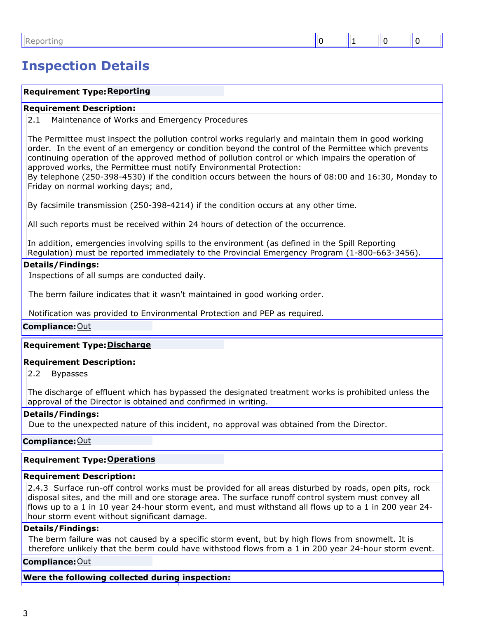## Inspection Details

#### **Requirement Type: Reporting**

#### Requirement Description:

2.1 Maintenance of Works and Emergency Procedures

The Permittee must inspect the pollution control works regularly and maintain them in good working order. In the event of an emergency or condition beyond the control of the Permittee which prevents continuing operation of the approved method of pollution control or which impairs the operation of approved works, the Permittee must notify Environmental Protection:

By telephone (250-398-4530) if the condition occurs between the hours of 08:00 and 16:30, Monday to Friday on normal working days; and,

By facsimile transmission (250-398-4214) if the condition occurs at any other time.

All such reports must be received within 24 hours of detection of the occurrence.

In addition, emergencies involving spills to the environment (as defined in the Spill Reporting Regulation) must be reported immediately to the Provincial Emergency Program (1-800-663-3456).

#### Details/Findings:

Inspections of all sumps are conducted daily.

The berm failure indicates that it wasn't maintained in good working order.

Notification was provided to Environmental Protection and PEP as required.

#### Compliance: Out

### Requirement Type: Discharge

#### Requirement Description:

2.2 Bypasses

The discharge of effluent which has bypassed the designated treatment works is prohibited unless the approval of the Director is obtained and confirmed in writing.

#### Details/Findings:

Due to the unexpected nature of this incident, no approval was obtained from the Director.

#### Compliance: <u>Out</u>

## **Requirement Type: Operations**

## Requirement Description:

2.4.3 Surface run-off control works must be provided for all areas disturbed by roads, open pits, rock disposal sites, and the mill and ore storage area. The surface runoff control system must convey all flows up to a 1 in 10 year 24-hour storm event, and must withstand all flows up to a 1 in 200 year 24 hour storm event without significant damage.

## Details/Findings:

The berm failure was not caused by a specific storm event, but by high flows from snowmelt. It is therefore unlikely that the berm could have withstood flows from a 1 in 200 year 24-hour storm event.

## Compliance:Out

Were the following collected during inspection: